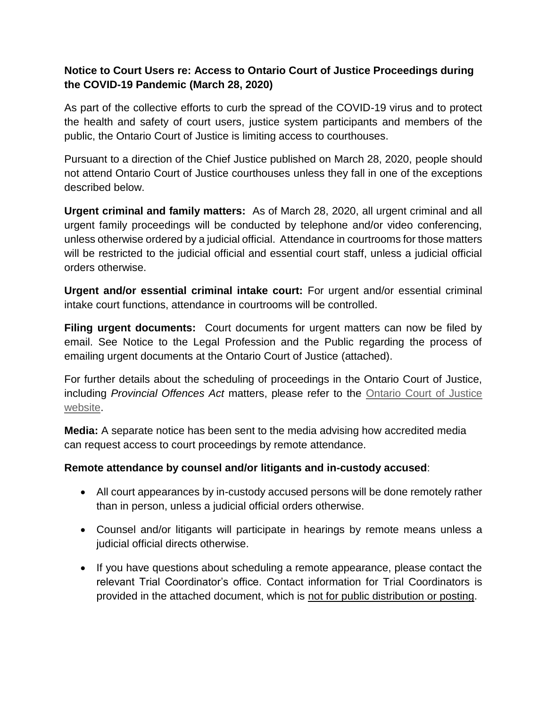## **Notice to Court Users re: Access to Ontario Court of Justice Proceedings during the COVID-19 Pandemic (March 28, 2020)**

As part of the collective efforts to curb the spread of the COVID-19 virus and to protect the health and safety of court users, justice system participants and members of the public, the Ontario Court of Justice is limiting access to courthouses.

Pursuant to a direction of the Chief Justice published on March 28, 2020, people should not attend Ontario Court of Justice courthouses unless they fall in one of the exceptions described below.

**Urgent criminal and family matters:** As of March 28, 2020, all urgent criminal and all urgent family proceedings will be conducted by telephone and/or video conferencing, unless otherwise ordered by a judicial official. Attendance in courtrooms for those matters will be restricted to the judicial official and essential court staff, unless a judicial official orders otherwise.

**Urgent and/or essential criminal intake court:** For urgent and/or essential criminal intake court functions, attendance in courtrooms will be controlled.

**Filing urgent documents:** Court documents for urgent matters can now be filed by email. See Notice to the Legal Profession and the Public regarding the process of emailing urgent documents at the Ontario Court of Justice (attached).

For further details about the scheduling of proceedings in the Ontario Court of Justice, including *Provincial Offences Act* matters, please refer to the [Ontario Court of Justice](https://www.ontariocourts.ca/ocj/covid-19/)  [website.](https://www.ontariocourts.ca/ocj/covid-19/)

**Media:** A separate notice has been sent to the media advising how accredited media can request access to court proceedings by remote attendance.

## **Remote attendance by counsel and/or litigants and in-custody accused**:

- All court appearances by in-custody accused persons will be done remotely rather than in person, unless a judicial official orders otherwise.
- Counsel and/or litigants will participate in hearings by remote means unless a judicial official directs otherwise.
- If you have questions about scheduling a remote appearance, please contact the relevant Trial Coordinator's office. Contact information for Trial Coordinators is provided in the attached document, which is not for public distribution or posting.